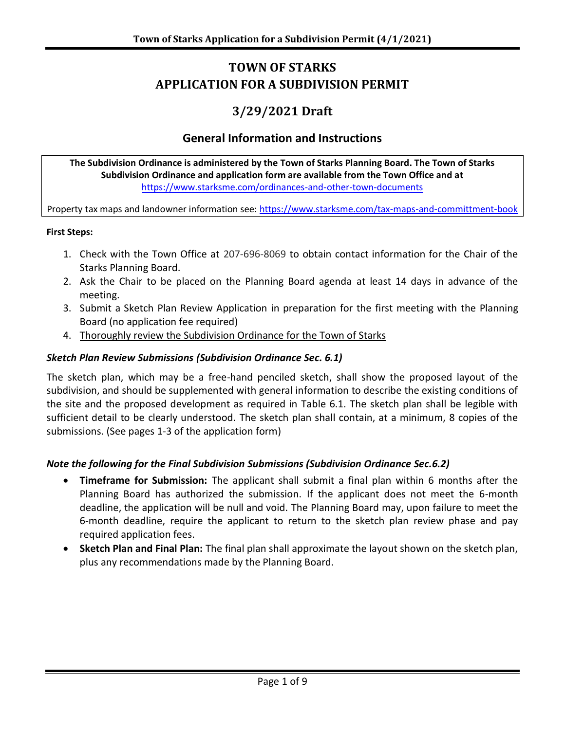# **TOWN OF STARKS APPLICATION FOR A SUBDIVISION PERMIT**

# **3/29/2021 Draft**

### **General Information and Instructions**

**The Subdivision Ordinance is administered by the Town of Starks Planning Board. The Town of Starks Subdivision Ordinance and application form are available from the Town Office and at** <https://www.starksme.com/ordinances-and-other-town-documents>

Property tax maps and landowner information see:<https://www.starksme.com/tax-maps-and-committment-book>

#### **First Steps:**

- 1. Check with the Town Office at 207-696-8069 to obtain contact information for the Chair of the Starks Planning Board.
- 2. Ask the Chair to be placed on the Planning Board agenda at least 14 days in advance of the meeting.
- 3. Submit a Sketch Plan Review Application in preparation for the first meeting with the Planning Board (no application fee required)
- 4. Thoroughly review the Subdivision Ordinance for the Town of Starks

#### *Sketch Plan Review Submissions (Subdivision Ordinance Sec. 6.1)*

The sketch plan, which may be a free-hand penciled sketch, shall show the proposed layout of the subdivision, and should be supplemented with general information to describe the existing conditions of the site and the proposed development as required in Table 6.1. The sketch plan shall be legible with sufficient detail to be clearly understood. The sketch plan shall contain, at a minimum, 8 copies of the submissions. (See pages 1-3 of the application form)

#### *Note the following for the Final Subdivision Submissions (Subdivision Ordinance Sec.6.2)*

- **Timeframe for Submission:** The applicant shall submit a final plan within 6 months after the Planning Board has authorized the submission. If the applicant does not meet the 6-month deadline, the application will be null and void. The Planning Board may, upon failure to meet the 6-month deadline, require the applicant to return to the sketch plan review phase and pay required application fees.
- **Sketch Plan and Final Plan:** The final plan shall approximate the layout shown on the sketch plan, plus any recommendations made by the Planning Board.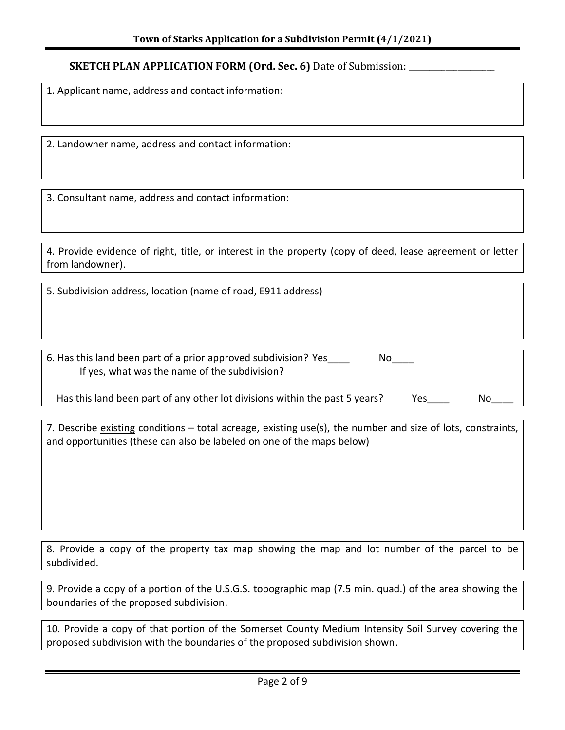#### **SKETCH PLAN APPLICATION FORM (Ord. Sec. 6) Date of Submission: \_\_\_\_\_\_\_\_\_\_\_\_\_\_\_\_\_**

1. Applicant name, address and contact information:

2. Landowner name, address and contact information:

3. Consultant name, address and contact information:

4. Provide evidence of right, title, or interest in the property (copy of deed, lease agreement or letter from landowner).

5. Subdivision address, location (name of road, E911 address)

6. Has this land been part of a prior approved subdivision? Yes No If yes, what was the name of the subdivision?

Has this land been part of any other lot divisions within the past 5 years? Yes Wo

7. Describe existing conditions – total acreage, existing use(s), the number and size of lots, constraints, and opportunities (these can also be labeled on one of the maps below)

8. Provide a copy of the property tax map showing the map and lot number of the parcel to be subdivided.

9. Provide a copy of a portion of the U.S.G.S. topographic map (7.5 min. quad.) of the area showing the boundaries of the proposed subdivision.

10. Provide a copy of that portion of the Somerset County Medium Intensity Soil Survey covering the proposed subdivision with the boundaries of the proposed subdivision shown.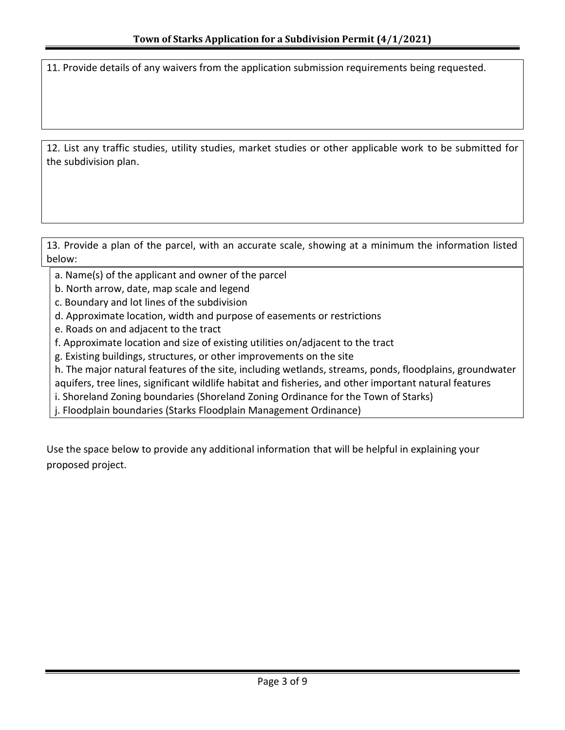11. Provide details of any waivers from the application submission requirements being requested.

12. List any traffic studies, utility studies, market studies or other applicable work to be submitted for the subdivision plan.

13. Provide a plan of the parcel, with an accurate scale, showing at a minimum the information listed below:

a. Name(s) of the applicant and owner of the parcel

- b. North arrow, date, map scale and legend
- c. Boundary and lot lines of the subdivision
- d. Approximate location, width and purpose of easements or restrictions
- e. Roads on and adjacent to the tract
- f. Approximate location and size of existing utilities on/adjacent to the tract
- g. Existing buildings, structures, or other improvements on the site

h. The major natural features of the site, including wetlands, streams, ponds, floodplains, groundwater aquifers, tree lines, significant wildlife habitat and fisheries, and other important natural features

i. Shoreland Zoning boundaries (Shoreland Zoning Ordinance for the Town of Starks)

j. Floodplain boundaries (Starks Floodplain Management Ordinance)

Use the space below to provide any additional information that will be helpful in explaining your proposed project.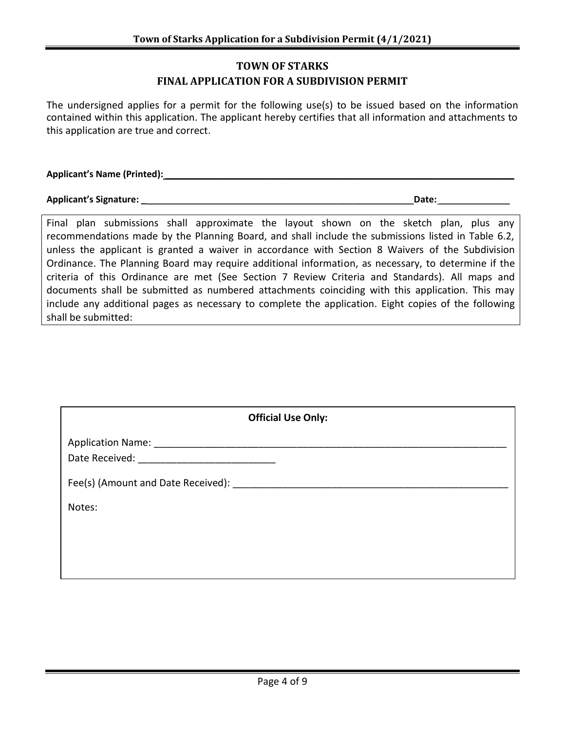### **TOWN OF STARKS FINAL APPLICATION FOR A SUBDIVISION PERMIT**

The undersigned applies for a permit for the following use(s) to be issued based on the information contained within this application. The applicant hereby certifies that all information and attachments to this application are true and correct.

**Applicant's Name (Printed):** \_\_\_\_\_\_\_\_\_\_\_\_\_\_\_\_\_\_\_\_\_\_\_\_\_\_\_\_\_\_\_\_\_\_\_\_\_\_\_\_\_\_\_\_\_\_\_\_\_\_\_\_\_\_\_\_\_\_\_\_\_\_\_\_\_\_\_\_\_

**Applicant's Signature: \_**\_\_\_\_\_\_\_\_\_\_\_\_\_\_\_\_\_\_\_\_\_\_\_\_\_\_\_\_\_\_\_\_\_\_\_\_\_\_\_\_\_\_\_\_\_\_\_\_\_\_\_\_\_**Date:** \_\_\_\_\_\_\_\_\_\_\_\_\_\_

Final plan submissions shall approximate the layout shown on the sketch plan, plus any recommendations made by the Planning Board, and shall include the submissions listed in Table 6.2, unless the applicant is granted a waiver in accordance with Section 8 Waivers of the Subdivision Ordinance. The Planning Board may require additional information, as necessary, to determine if the criteria of this Ordinance are met (See Section 7 Review Criteria and Standards). All maps and documents shall be submitted as numbered attachments coinciding with this application. This may include any additional pages as necessary to complete the application. Eight copies of the following shall be submitted:

|        | <b>Official Use Only:</b> |  |  |
|--------|---------------------------|--|--|
|        |                           |  |  |
|        |                           |  |  |
| Notes: |                           |  |  |
|        |                           |  |  |
|        |                           |  |  |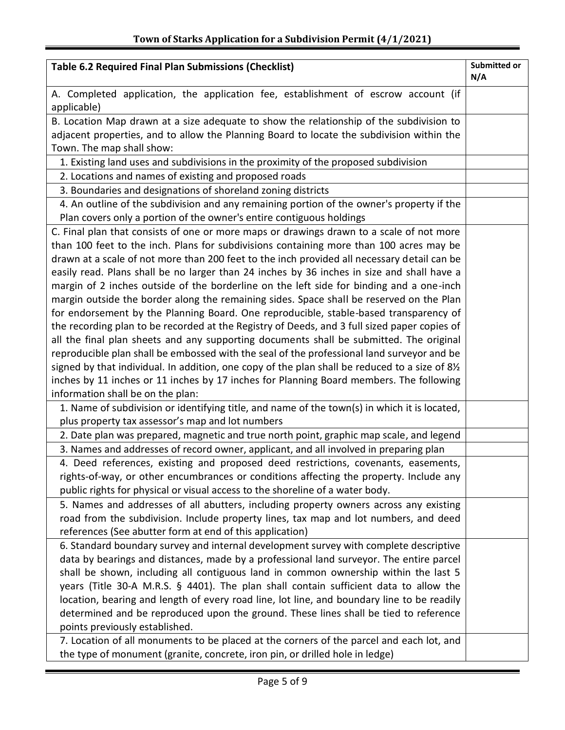| <b>Table 6.2 Required Final Plan Submissions (Checklist)</b>                                      | Submitted or<br>N/A |
|---------------------------------------------------------------------------------------------------|---------------------|
| A. Completed application, the application fee, establishment of escrow account (if<br>applicable) |                     |
| B. Location Map drawn at a size adequate to show the relationship of the subdivision to           |                     |
| adjacent properties, and to allow the Planning Board to locate the subdivision within the         |                     |
| Town. The map shall show:                                                                         |                     |
| 1. Existing land uses and subdivisions in the proximity of the proposed subdivision               |                     |
| 2. Locations and names of existing and proposed roads                                             |                     |
| 3. Boundaries and designations of shoreland zoning districts                                      |                     |
| 4. An outline of the subdivision and any remaining portion of the owner's property if the         |                     |
| Plan covers only a portion of the owner's entire contiguous holdings                              |                     |
| C. Final plan that consists of one or more maps or drawings drawn to a scale of not more          |                     |
| than 100 feet to the inch. Plans for subdivisions containing more than 100 acres may be           |                     |
| drawn at a scale of not more than 200 feet to the inch provided all necessary detail can be       |                     |
| easily read. Plans shall be no larger than 24 inches by 36 inches in size and shall have a        |                     |
| margin of 2 inches outside of the borderline on the left side for binding and a one-inch          |                     |
| margin outside the border along the remaining sides. Space shall be reserved on the Plan          |                     |
| for endorsement by the Planning Board. One reproducible, stable-based transparency of             |                     |
| the recording plan to be recorded at the Registry of Deeds, and 3 full sized paper copies of      |                     |
| all the final plan sheets and any supporting documents shall be submitted. The original           |                     |
| reproducible plan shall be embossed with the seal of the professional land surveyor and be        |                     |
| signed by that individual. In addition, one copy of the plan shall be reduced to a size of 81/2   |                     |
| inches by 11 inches or 11 inches by 17 inches for Planning Board members. The following           |                     |
| information shall be on the plan:                                                                 |                     |
| 1. Name of subdivision or identifying title, and name of the town(s) in which it is located,      |                     |
| plus property tax assessor's map and lot numbers                                                  |                     |
| 2. Date plan was prepared, magnetic and true north point, graphic map scale, and legend           |                     |
| 3. Names and addresses of record owner, applicant, and all involved in preparing plan             |                     |
| 4. Deed references, existing and proposed deed restrictions, covenants, easements,                |                     |
| rights-of-way, or other encumbrances or conditions affecting the property. Include any            |                     |
| public rights for physical or visual access to the shoreline of a water body.                     |                     |
| 5. Names and addresses of all abutters, including property owners across any existing             |                     |
| road from the subdivision. Include property lines, tax map and lot numbers, and deed              |                     |
| references (See abutter form at end of this application)                                          |                     |
| 6. Standard boundary survey and internal development survey with complete descriptive             |                     |
| data by bearings and distances, made by a professional land surveyor. The entire parcel           |                     |
| shall be shown, including all contiguous land in common ownership within the last 5               |                     |
| years (Title 30-A M.R.S. § 4401). The plan shall contain sufficient data to allow the             |                     |
| location, bearing and length of every road line, lot line, and boundary line to be readily        |                     |
| determined and be reproduced upon the ground. These lines shall be tied to reference              |                     |
| points previously established.                                                                    |                     |
| 7. Location of all monuments to be placed at the corners of the parcel and each lot, and          |                     |
| the type of monument (granite, concrete, iron pin, or drilled hole in ledge)                      |                     |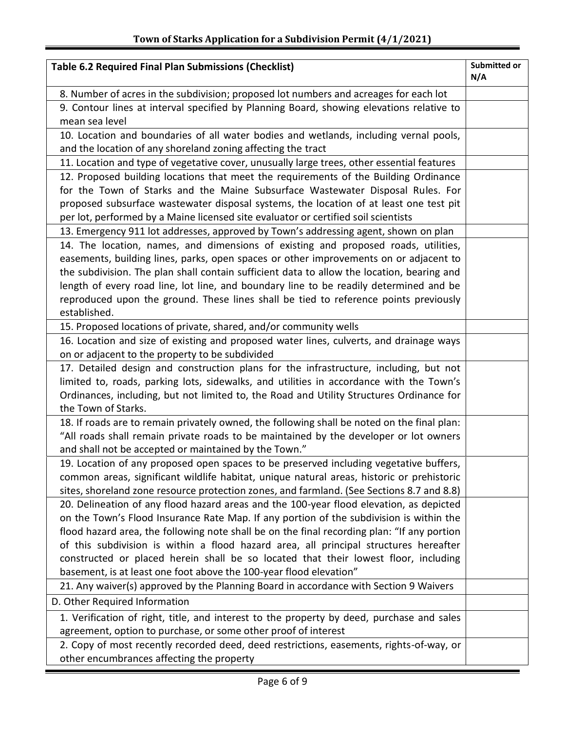| <b>Table 6.2 Required Final Plan Submissions (Checklist)</b>                                                                                    | Submitted or<br>N/A |
|-------------------------------------------------------------------------------------------------------------------------------------------------|---------------------|
| 8. Number of acres in the subdivision; proposed lot numbers and acreages for each lot                                                           |                     |
| 9. Contour lines at interval specified by Planning Board, showing elevations relative to                                                        |                     |
| mean sea level                                                                                                                                  |                     |
| 10. Location and boundaries of all water bodies and wetlands, including vernal pools,                                                           |                     |
| and the location of any shoreland zoning affecting the tract                                                                                    |                     |
| 11. Location and type of vegetative cover, unusually large trees, other essential features                                                      |                     |
| 12. Proposed building locations that meet the requirements of the Building Ordinance                                                            |                     |
| for the Town of Starks and the Maine Subsurface Wastewater Disposal Rules. For                                                                  |                     |
| proposed subsurface wastewater disposal systems, the location of at least one test pit                                                          |                     |
| per lot, performed by a Maine licensed site evaluator or certified soil scientists                                                              |                     |
| 13. Emergency 911 lot addresses, approved by Town's addressing agent, shown on plan                                                             |                     |
| 14. The location, names, and dimensions of existing and proposed roads, utilities,                                                              |                     |
| easements, building lines, parks, open spaces or other improvements on or adjacent to                                                           |                     |
| the subdivision. The plan shall contain sufficient data to allow the location, bearing and                                                      |                     |
| length of every road line, lot line, and boundary line to be readily determined and be                                                          |                     |
| reproduced upon the ground. These lines shall be tied to reference points previously                                                            |                     |
| established.                                                                                                                                    |                     |
| 15. Proposed locations of private, shared, and/or community wells                                                                               |                     |
| 16. Location and size of existing and proposed water lines, culverts, and drainage ways                                                         |                     |
| on or adjacent to the property to be subdivided                                                                                                 |                     |
| 17. Detailed design and construction plans for the infrastructure, including, but not                                                           |                     |
| limited to, roads, parking lots, sidewalks, and utilities in accordance with the Town's                                                         |                     |
| Ordinances, including, but not limited to, the Road and Utility Structures Ordinance for                                                        |                     |
| the Town of Starks.                                                                                                                             |                     |
| 18. If roads are to remain privately owned, the following shall be noted on the final plan:                                                     |                     |
| "All roads shall remain private roads to be maintained by the developer or lot owners                                                           |                     |
| and shall not be accepted or maintained by the Town."<br>19. Location of any proposed open spaces to be preserved including vegetative buffers, |                     |
| common areas, significant wildlife habitat, unique natural areas, historic or prehistoric                                                       |                     |
| sites, shoreland zone resource protection zones, and farmland. (See Sections 8.7 and 8.8)                                                       |                     |
| 20. Delineation of any flood hazard areas and the 100-year flood elevation, as depicted                                                         |                     |
| on the Town's Flood Insurance Rate Map. If any portion of the subdivision is within the                                                         |                     |
| flood hazard area, the following note shall be on the final recording plan: "If any portion                                                     |                     |
| of this subdivision is within a flood hazard area, all principal structures hereafter                                                           |                     |
| constructed or placed herein shall be so located that their lowest floor, including                                                             |                     |
| basement, is at least one foot above the 100-year flood elevation"                                                                              |                     |
| 21. Any waiver(s) approved by the Planning Board in accordance with Section 9 Waivers                                                           |                     |
| D. Other Required Information                                                                                                                   |                     |
| 1. Verification of right, title, and interest to the property by deed, purchase and sales                                                       |                     |
| agreement, option to purchase, or some other proof of interest                                                                                  |                     |
| 2. Copy of most recently recorded deed, deed restrictions, easements, rights-of-way, or                                                         |                     |
| other encumbrances affecting the property                                                                                                       |                     |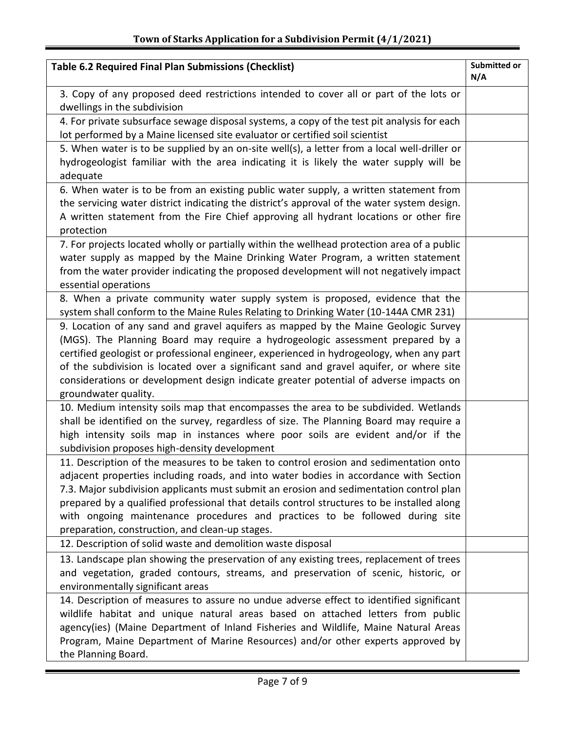| <b>Table 6.2 Required Final Plan Submissions (Checklist)</b>                                                                                                                                                                                                                                                                                                                                                                                                                                               | Submitted or<br>N/A |
|------------------------------------------------------------------------------------------------------------------------------------------------------------------------------------------------------------------------------------------------------------------------------------------------------------------------------------------------------------------------------------------------------------------------------------------------------------------------------------------------------------|---------------------|
| 3. Copy of any proposed deed restrictions intended to cover all or part of the lots or<br>dwellings in the subdivision                                                                                                                                                                                                                                                                                                                                                                                     |                     |
| 4. For private subsurface sewage disposal systems, a copy of the test pit analysis for each<br>lot performed by a Maine licensed site evaluator or certified soil scientist                                                                                                                                                                                                                                                                                                                                |                     |
| 5. When water is to be supplied by an on-site well(s), a letter from a local well-driller or<br>hydrogeologist familiar with the area indicating it is likely the water supply will be<br>adequate                                                                                                                                                                                                                                                                                                         |                     |
| 6. When water is to be from an existing public water supply, a written statement from<br>the servicing water district indicating the district's approval of the water system design.<br>A written statement from the Fire Chief approving all hydrant locations or other fire<br>protection                                                                                                                                                                                                                |                     |
| 7. For projects located wholly or partially within the wellhead protection area of a public<br>water supply as mapped by the Maine Drinking Water Program, a written statement<br>from the water provider indicating the proposed development will not negatively impact<br>essential operations                                                                                                                                                                                                           |                     |
| 8. When a private community water supply system is proposed, evidence that the<br>system shall conform to the Maine Rules Relating to Drinking Water (10-144A CMR 231)                                                                                                                                                                                                                                                                                                                                     |                     |
| 9. Location of any sand and gravel aquifers as mapped by the Maine Geologic Survey<br>(MGS). The Planning Board may require a hydrogeologic assessment prepared by a<br>certified geologist or professional engineer, experienced in hydrogeology, when any part<br>of the subdivision is located over a significant sand and gravel aquifer, or where site<br>considerations or development design indicate greater potential of adverse impacts on<br>groundwater quality.                               |                     |
| 10. Medium intensity soils map that encompasses the area to be subdivided. Wetlands<br>shall be identified on the survey, regardless of size. The Planning Board may require a<br>high intensity soils map in instances where poor soils are evident and/or if the<br>subdivision proposes high-density development                                                                                                                                                                                        |                     |
| 11. Description of the measures to be taken to control erosion and sedimentation onto<br>adjacent properties including roads, and into water bodies in accordance with Section<br>7.3. Major subdivision applicants must submit an erosion and sedimentation control plan<br>prepared by a qualified professional that details control structures to be installed along<br>with ongoing maintenance procedures and practices to be followed during site<br>preparation, construction, and clean-up stages. |                     |
| 12. Description of solid waste and demolition waste disposal                                                                                                                                                                                                                                                                                                                                                                                                                                               |                     |
| 13. Landscape plan showing the preservation of any existing trees, replacement of trees<br>and vegetation, graded contours, streams, and preservation of scenic, historic, or<br>environmentally significant areas                                                                                                                                                                                                                                                                                         |                     |
| 14. Description of measures to assure no undue adverse effect to identified significant<br>wildlife habitat and unique natural areas based on attached letters from public<br>agency(ies) (Maine Department of Inland Fisheries and Wildlife, Maine Natural Areas<br>Program, Maine Department of Marine Resources) and/or other experts approved by<br>the Planning Board.                                                                                                                                |                     |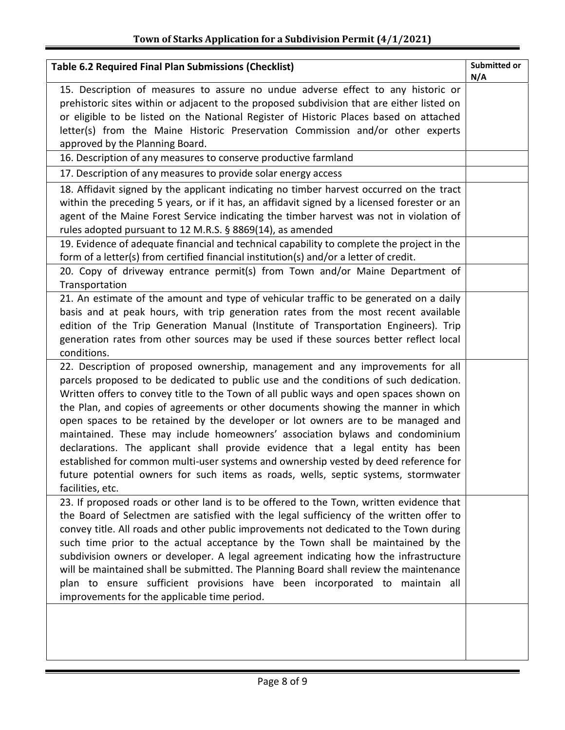Ξ

| <b>Table 6.2 Required Final Plan Submissions (Checklist)</b>                                                                                                                                                                                                                                                                                                                                                                                                                                                                                                                                                                                                                                                                                                                                                   | Submitted or<br>N/A |
|----------------------------------------------------------------------------------------------------------------------------------------------------------------------------------------------------------------------------------------------------------------------------------------------------------------------------------------------------------------------------------------------------------------------------------------------------------------------------------------------------------------------------------------------------------------------------------------------------------------------------------------------------------------------------------------------------------------------------------------------------------------------------------------------------------------|---------------------|
| 15. Description of measures to assure no undue adverse effect to any historic or<br>prehistoric sites within or adjacent to the proposed subdivision that are either listed on<br>or eligible to be listed on the National Register of Historic Places based on attached<br>letter(s) from the Maine Historic Preservation Commission and/or other experts<br>approved by the Planning Board.                                                                                                                                                                                                                                                                                                                                                                                                                  |                     |
| 16. Description of any measures to conserve productive farmland                                                                                                                                                                                                                                                                                                                                                                                                                                                                                                                                                                                                                                                                                                                                                |                     |
| 17. Description of any measures to provide solar energy access                                                                                                                                                                                                                                                                                                                                                                                                                                                                                                                                                                                                                                                                                                                                                 |                     |
| 18. Affidavit signed by the applicant indicating no timber harvest occurred on the tract<br>within the preceding 5 years, or if it has, an affidavit signed by a licensed forester or an<br>agent of the Maine Forest Service indicating the timber harvest was not in violation of<br>rules adopted pursuant to 12 M.R.S. § 8869(14), as amended                                                                                                                                                                                                                                                                                                                                                                                                                                                              |                     |
| 19. Evidence of adequate financial and technical capability to complete the project in the                                                                                                                                                                                                                                                                                                                                                                                                                                                                                                                                                                                                                                                                                                                     |                     |
| form of a letter(s) from certified financial institution(s) and/or a letter of credit.<br>20. Copy of driveway entrance permit(s) from Town and/or Maine Department of<br>Transportation                                                                                                                                                                                                                                                                                                                                                                                                                                                                                                                                                                                                                       |                     |
| 21. An estimate of the amount and type of vehicular traffic to be generated on a daily<br>basis and at peak hours, with trip generation rates from the most recent available<br>edition of the Trip Generation Manual (Institute of Transportation Engineers). Trip<br>generation rates from other sources may be used if these sources better reflect local<br>conditions.                                                                                                                                                                                                                                                                                                                                                                                                                                    |                     |
| 22. Description of proposed ownership, management and any improvements for all<br>parcels proposed to be dedicated to public use and the conditions of such dedication.<br>Written offers to convey title to the Town of all public ways and open spaces shown on<br>the Plan, and copies of agreements or other documents showing the manner in which<br>open spaces to be retained by the developer or lot owners are to be managed and<br>maintained. These may include homeowners' association bylaws and condominium<br>declarations. The applicant shall provide evidence that a legal entity has been<br>established for common multi-user systems and ownership vested by deed reference for<br>future potential owners for such items as roads, wells, septic systems, stormwater<br>facilities, etc. |                     |
| 23. If proposed roads or other land is to be offered to the Town, written evidence that<br>the Board of Selectmen are satisfied with the legal sufficiency of the written offer to<br>convey title. All roads and other public improvements not dedicated to the Town during<br>such time prior to the actual acceptance by the Town shall be maintained by the<br>subdivision owners or developer. A legal agreement indicating how the infrastructure<br>will be maintained shall be submitted. The Planning Board shall review the maintenance<br>plan to ensure sufficient provisions have been incorporated to maintain all<br>improvements for the applicable time period.                                                                                                                               |                     |
|                                                                                                                                                                                                                                                                                                                                                                                                                                                                                                                                                                                                                                                                                                                                                                                                                |                     |